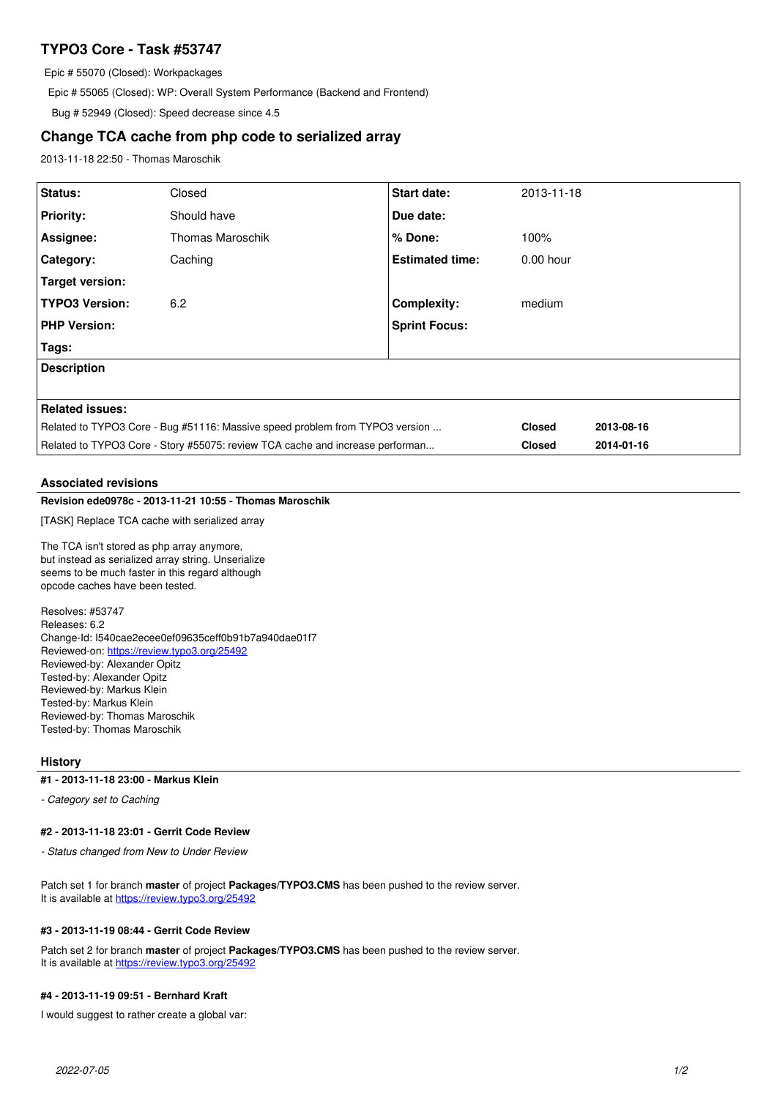# **TYPO3 Core - Task #53747**

Epic # 55070 (Closed): Workpackages

Epic # 55065 (Closed): WP: Overall System Performance (Backend and Frontend)

Bug # 52949 (Closed): Speed decrease since 4.5

# **Change TCA cache from php code to serialized array**

2013-11-18 22:50 - Thomas Maroschik

| Status:                                                                       | Closed                  | <b>Start date:</b>     | 2013-11-18    |            |
|-------------------------------------------------------------------------------|-------------------------|------------------------|---------------|------------|
| <b>Priority:</b>                                                              | Should have             | Due date:              |               |            |
| Assignee:                                                                     | <b>Thomas Maroschik</b> | % Done:                | 100%          |            |
| Category:                                                                     | Caching                 | <b>Estimated time:</b> | $0.00$ hour   |            |
| Target version:                                                               |                         |                        |               |            |
| <b>TYPO3 Version:</b>                                                         | 6.2                     | <b>Complexity:</b>     | medium        |            |
| <b>PHP Version:</b>                                                           |                         | <b>Sprint Focus:</b>   |               |            |
| Tags:                                                                         |                         |                        |               |            |
| <b>Description</b>                                                            |                         |                        |               |            |
|                                                                               |                         |                        |               |            |
| <b>Related issues:</b>                                                        |                         |                        |               |            |
| Related to TYPO3 Core - Bug #51116: Massive speed problem from TYPO3 version  |                         |                        | <b>Closed</b> | 2013-08-16 |
| Related to TYPO3 Core - Story #55075: review TCA cache and increase performan |                         |                        | <b>Closed</b> | 2014-01-16 |
|                                                                               |                         |                        |               |            |

## **Associated revisions**

# **Revision ede0978c - 2013-11-21 10:55 - Thomas Maroschik**

[TASK] Replace TCA cache with serialized array

The TCA isn't stored as php array anymore, but instead as serialized array string. Unserialize seems to be much faster in this regard although opcode caches have been tested.

Resolves: #53747 Releases: 6.2 Change-Id: I540cae2ecee0ef09635ceff0b91b7a940dae01f7 Reviewed-on:<https://review.typo3.org/25492> Reviewed-by: Alexander Opitz Tested-by: Alexander Opitz Reviewed-by: Markus Klein Tested-by: Markus Klein Reviewed-by: Thomas Maroschik Tested-by: Thomas Maroschik

## **History**

### **#1 - 2013-11-18 23:00 - Markus Klein**

*- Category set to Caching*

### **#2 - 2013-11-18 23:01 - Gerrit Code Review**

*- Status changed from New to Under Review*

Patch set 1 for branch **master** of project **Packages/TYPO3.CMS** has been pushed to the review server. It is available at <https://review.typo3.org/25492>

## **#3 - 2013-11-19 08:44 - Gerrit Code Review**

Patch set 2 for branch **master** of project **Packages/TYPO3.CMS** has been pushed to the review server. It is available at <https://review.typo3.org/25492>

## **#4 - 2013-11-19 09:51 - Bernhard Kraft**

I would suggest to rather create a global var: